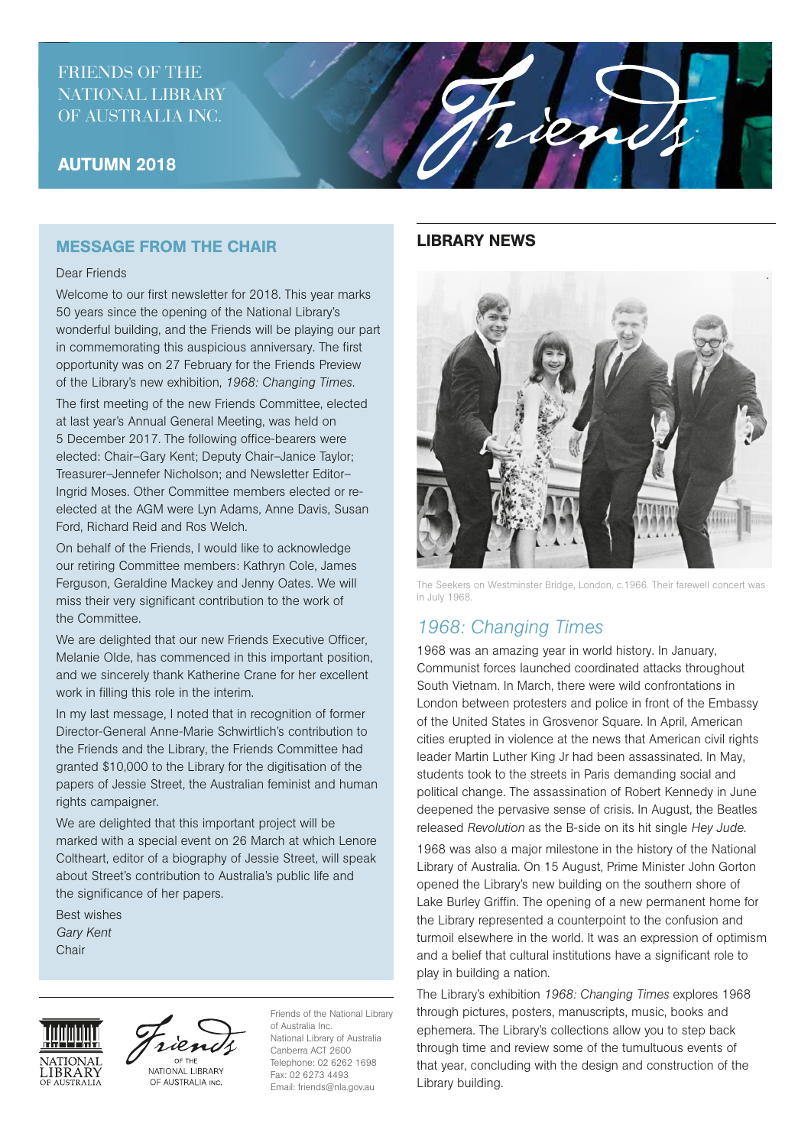## FRIENDS OF THE NATIONAL LIBRARY OF AUSTRALIA INC.

## AUTUMN 2018

## MESSAGE FROM THE CHAIR

#### Dear Friends

Welcome to our first newsletter for 2018. This year marks 50 years since the opening of the National Library's wonderful building, and the Friends will be playing our part in commemorating this auspicious anniversary. The first opportunity was on 27 February for the Friends Preview of the Library's new exhibition, *1968: Changing Times*.

The first meeting of the new Friends Committee, elected at last year's Annual General Meeting, was held on 5 December 2017. The following office-bearers were elected: Chair–Gary Kent; Deputy Chair–Janice Taylor; Treasurer–Jennefer Nicholson; and Newsletter Editor– Ingrid Moses. Other Committee members elected or reelected at the AGM were Lyn Adams, Anne Davis, Susan Ford, Richard Reid and Ros Welch.

On behalf of the Friends, I would like to acknowledge our retiring Committee members: Kathryn Cole, James Ferguson, Geraldine Mackey and Jenny Oates. We will miss their very significant contribution to the work of the Committee.

We are delighted that our new Friends Executive Officer, Melanie Olde, has commenced in this important position, and we sincerely thank Katherine Crane for her excellent work in filling this role in the interim.

In my last message, I noted that in recognition of former Director-General Anne-Marie Schwirtlich's contribution to the Friends and the Library, the Friends Committee had granted \$10,000 to the Library for the digitisation of the papers of Jessie Street, the Australian feminist and human rights campaigner.

We are delighted that this important project will be marked with a special event on 26 March at which Lenore Coltheart, editor of a biography of Jessie Street, will speak about Street's contribution to Australia's public life and the significance of her papers.

Best wishes *Gary Kent* **Chair** 





OF THE NATIONAL LIBRARY OF AUSTRALIA INC.

Friends of the National Library of Australia Inc. National Library of Australia Canberra ACT 2600 Telephone: 02 6262 1698 Fax: 02 6273 4493 Email: friends@nla.gov.au

### LIBRARY NEWS

rien



The Seekers on Westminster Bridge, London, c.1966. Their farewell concert was in July 1968.

# *1968: Changing Times*

1968 was an amazing year in world history. In January, Communist forces launched coordinated attacks throughout South Vietnam. In March, there were wild confrontations in London between protesters and police in front of the Embassy of the United States in Grosvenor Square. In April, American cities erupted in violence at the news that American civil rights leader Martin Luther King Jr had been assassinated. In May, students took to the streets in Paris demanding social and political change. The assassination of Robert Kennedy in June deepened the pervasive sense of crisis. In August, the Beatles released *Revolution* as the B-side on its hit single *Hey Jude*.

1968 was also a major milestone in the history of the National Library of Australia. On 15 August, Prime Minister John Gorton opened the Library's new building on the southern shore of Lake Burley Griffin. The opening of a new permanent home for the Library represented a counterpoint to the confusion and turmoil elsewhere in the world. It was an expression of optimism and a belief that cultural institutions have a significant role to play in building a nation.

The Library's exhibition *1968: Changing Times* explores 1968 through pictures, posters, manuscripts, music, books and ephemera. The Library's collections allow you to step back through time and review some of the tumultuous events of that year, concluding with the design and construction of the Library building.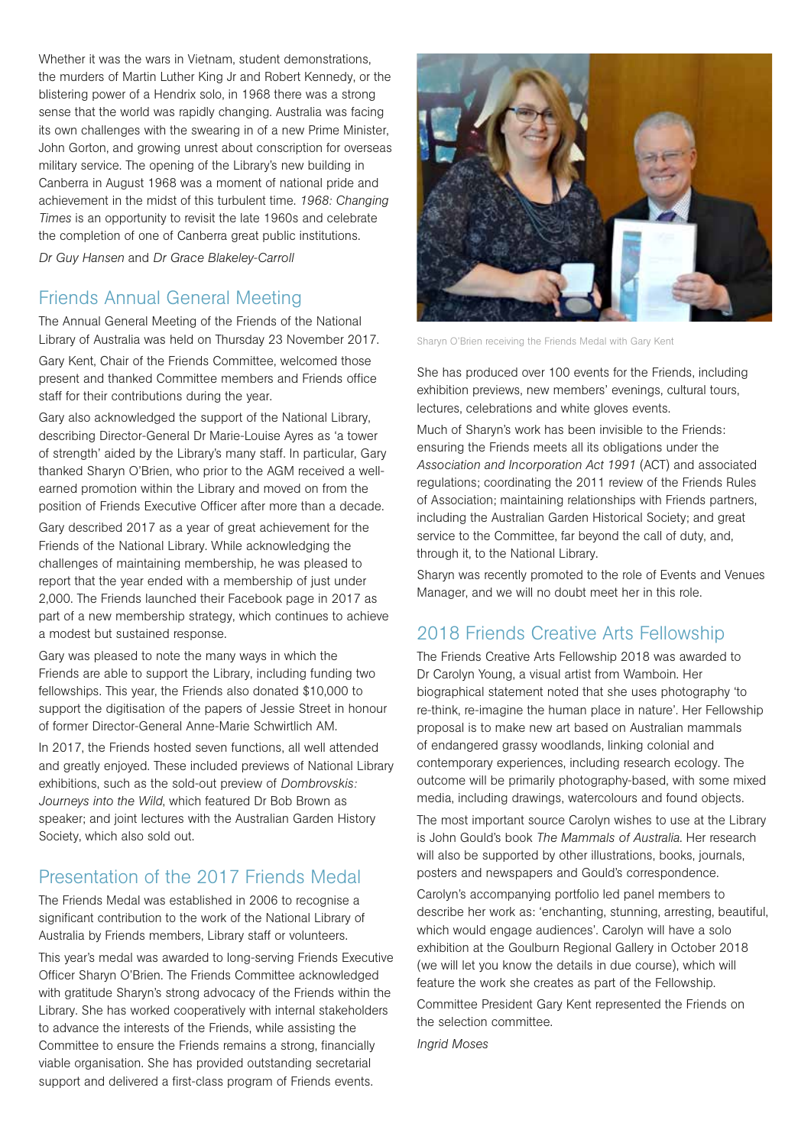Whether it was the wars in Vietnam, student demonstrations, the murders of Martin Luther King Jr and Robert Kennedy, or the blistering power of a Hendrix solo, in 1968 there was a strong sense that the world was rapidly changing. Australia was facing its own challenges with the swearing in of a new Prime Minister, John Gorton, and growing unrest about conscription for overseas military service. The opening of the Library's new building in Canberra in August 1968 was a moment of national pride and achievement in the midst of this turbulent time. *1968: Changing Times* is an opportunity to revisit the late 1960s and celebrate the completion of one of Canberra great public institutions. *Dr Guy Hansen* and *Dr Grace Blakeley-Carroll*

# Friends Annual General Meeting

The Annual General Meeting of the Friends of the National Library of Australia was held on Thursday 23 November 2017.

Gary Kent, Chair of the Friends Committee, welcomed those present and thanked Committee members and Friends office staff for their contributions during the year.

Gary also acknowledged the support of the National Library, describing Director-General Dr Marie-Louise Ayres as 'a tower of strength' aided by the Library's many staff. In particular, Gary thanked Sharyn O'Brien, who prior to the AGM received a wellearned promotion within the Library and moved on from the position of Friends Executive Officer after more than a decade.

Gary described 2017 as a year of great achievement for the Friends of the National Library. While acknowledging the challenges of maintaining membership, he was pleased to report that the year ended with a membership of just under 2,000. The Friends launched their Facebook page in 2017 as part of a new membership strategy, which continues to achieve a modest but sustained response.

Gary was pleased to note the many ways in which the Friends are able to support the Library, including funding two fellowships. This year, the Friends also donated \$10,000 to support the digitisation of the papers of Jessie Street in honour of former Director-General Anne-Marie Schwirtlich AM.

In 2017, the Friends hosted seven functions, all well attended and greatly enjoyed. These included previews of National Library exhibitions, such as the sold-out preview of *Dombrovskis: Journeys into the Wild*, which featured Dr Bob Brown as speaker; and joint lectures with the Australian Garden History Society, which also sold out.

# Presentation of the 2017 Friends Medal

The Friends Medal was established in 2006 to recognise a significant contribution to the work of the National Library of Australia by Friends members, Library staff or volunteers.

This year's medal was awarded to long-serving Friends Executive Officer Sharyn O'Brien. The Friends Committee acknowledged with gratitude Sharyn's strong advocacy of the Friends within the Library. She has worked cooperatively with internal stakeholders to advance the interests of the Friends, while assisting the Committee to ensure the Friends remains a strong, financially viable organisation. She has provided outstanding secretarial support and delivered a first-class program of Friends events.



Sharyn O'Brien receiving the Friends Medal with Gary Kent

She has produced over 100 events for the Friends, including exhibition previews, new members' evenings, cultural tours, lectures, celebrations and white gloves events.

Much of Sharyn's work has been invisible to the Friends: ensuring the Friends meets all its obligations under the *Association and Incorporation Act 1991* (ACT) and associated regulations; coordinating the 2011 review of the Friends Rules of Association; maintaining relationships with Friends partners, including the Australian Garden Historical Society; and great service to the Committee, far beyond the call of duty, and, through it, to the National Library.

Sharyn was recently promoted to the role of Events and Venues Manager, and we will no doubt meet her in this role.

# 2018 Friends Creative Arts Fellowship

The Friends Creative Arts Fellowship 2018 was awarded to Dr Carolyn Young, a visual artist from Wamboin. Her biographical statement noted that she uses photography 'to re-think, re-imagine the human place in nature'. Her Fellowship proposal is to make new art based on Australian mammals of endangered grassy woodlands, linking colonial and contemporary experiences, including research ecology. The outcome will be primarily photography-based, with some mixed media, including drawings, watercolours and found objects.

The most important source Carolyn wishes to use at the Library is John Gould's book *The Mammals of Australia*. Her research will also be supported by other illustrations, books, journals, posters and newspapers and Gould's correspondence.

Carolyn's accompanying portfolio led panel members to describe her work as: 'enchanting, stunning, arresting, beautiful, which would engage audiences'. Carolyn will have a solo exhibition at the Goulburn Regional Gallery in October 2018 (we will let you know the details in due course), which will feature the work she creates as part of the Fellowship. Committee President Gary Kent represented the Friends on the selection committee.

*Ingrid Moses*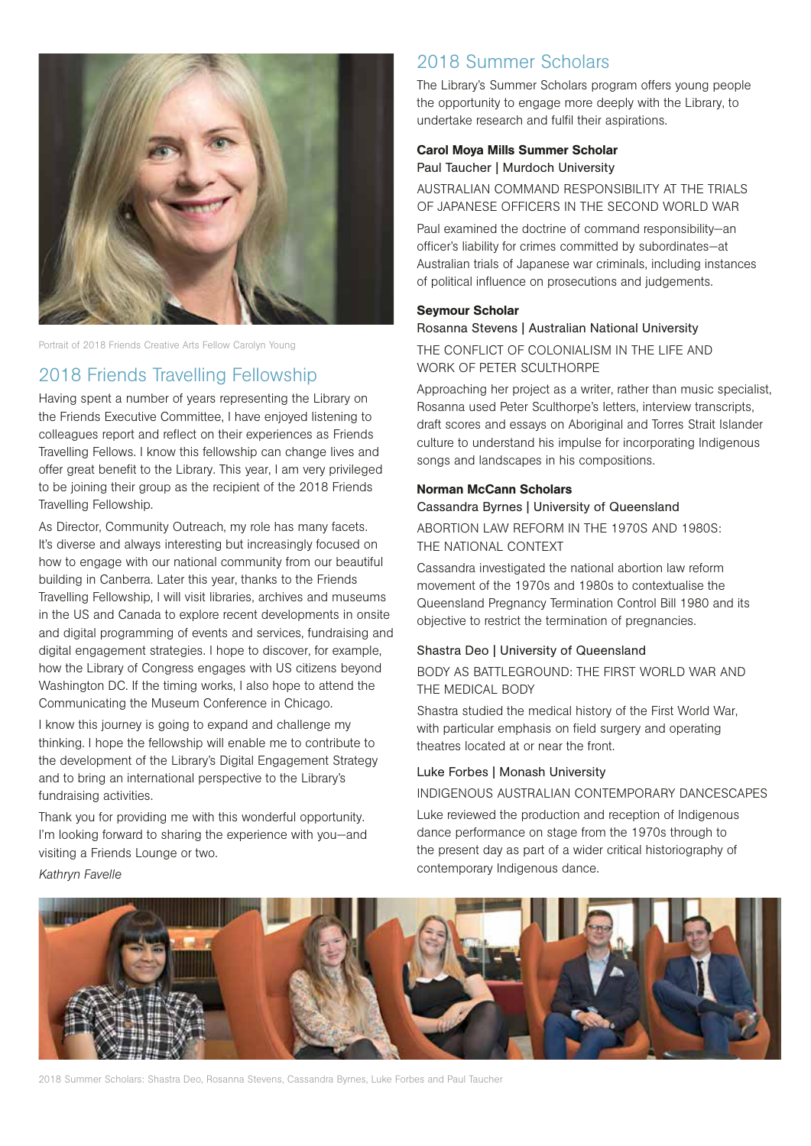

Portrait of 2018 Friends Creative Arts Fellow Carolyn Young

# 2018 Friends Travelling Fellowship

Having spent a number of years representing the Library on the Friends Executive Committee, I have enjoyed listening to colleagues report and reflect on their experiences as Friends Travelling Fellows. I know this fellowship can change lives and offer great benefit to the Library. This year, I am very privileged to be joining their group as the recipient of the 2018 Friends Travelling Fellowship.

As Director, Community Outreach, my role has many facets. It's diverse and always interesting but increasingly focused on how to engage with our national community from our beautiful building in Canberra. Later this year, thanks to the Friends Travelling Fellowship, I will visit libraries, archives and museums in the US and Canada to explore recent developments in onsite and digital programming of events and services, fundraising and digital engagement strategies. I hope to discover, for example, how the Library of Congress engages with US citizens beyond Washington DC. If the timing works, I also hope to attend the Communicating the Museum Conference in Chicago.

I know this journey is going to expand and challenge my thinking. I hope the fellowship will enable me to contribute to the development of the Library's Digital Engagement Strategy and to bring an international perspective to the Library's fundraising activities.

Thank you for providing me with this wonderful opportunity. I'm looking forward to sharing the experience with you—and visiting a Friends Lounge or two. *Kathryn Favelle*

# 2018 Summer Scholars

The Library's Summer Scholars program offers young people the opportunity to engage more deeply with the Library, to undertake research and fulfil their aspirations.

#### Carol Moya Mills Summer Scholar

Paul Taucher | Murdoch University

AUSTRALIAN COMMAND RESPONSIBILITY AT THE TRIALS OF JAPANESE OFFICERS IN THE SECOND WORLD WAR

Paul examined the doctrine of command responsibility—an officer's liability for crimes committed by subordinates—at Australian trials of Japanese war criminals, including instances of political influence on prosecutions and judgements.

### Seymour Scholar

#### Rosanna Stevens | Australian National University

THE CONFLICT OF COLONIALISM IN THE LIFE AND WORK OF PETER SCULTHORPE

Approaching her project as a writer, rather than music specialist, Rosanna used Peter Sculthorpe's letters, interview transcripts, draft scores and essays on Aboriginal and Torres Strait Islander culture to understand his impulse for incorporating Indigenous songs and landscapes in his compositions.

### Norman McCann Scholars

Cassandra Byrnes | University of Queensland ABORTION LAW REFORM IN THE 1970S AND 1980S: THE NATIONAL CONTEXT

Cassandra investigated the national abortion law reform movement of the 1970s and 1980s to contextualise the Queensland Pregnancy Termination Control Bill 1980 and its objective to restrict the termination of pregnancies.

### Shastra Deo | University of Queensland

BODY AS BATTLEGROUND: THE FIRST WORLD WAR AND THE MEDICAL BODY

Shastra studied the medical history of the First World War, with particular emphasis on field surgery and operating theatres located at or near the front.

### Luke Forbes | Monash University

INDIGENOUS AUSTRALIAN CONTEMPORARY DANCESCAPES

Luke reviewed the production and reception of Indigenous dance performance on stage from the 1970s through to the present day as part of a wider critical historiography of contemporary Indigenous dance.



2018 Summer Scholars: Shastra Deo, Rosanna Stevens, Cassandra Byrnes, Luke Forbes and Paul Taucher